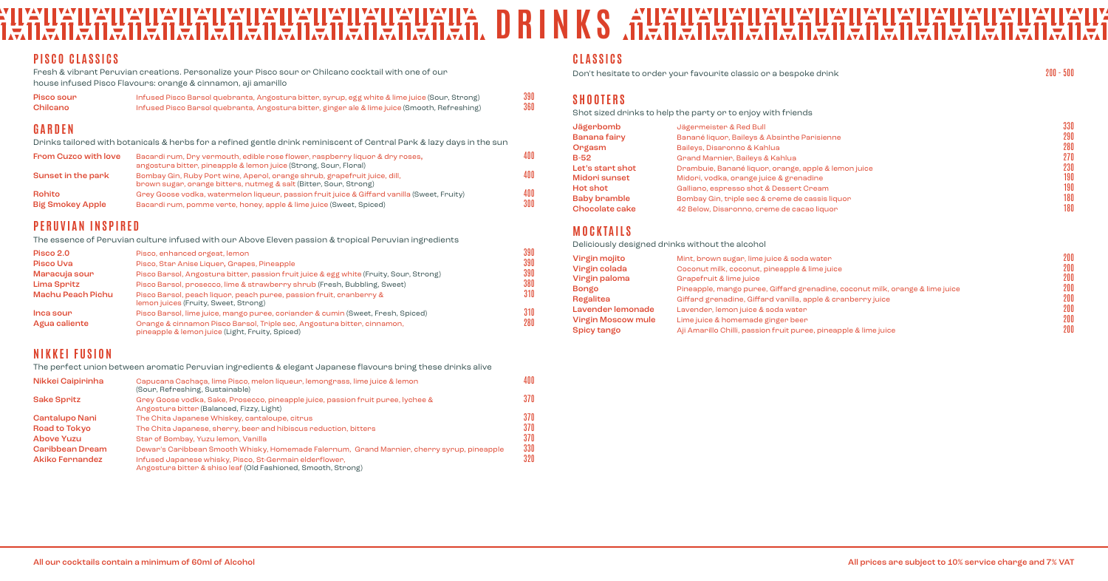| ╭<br>╲ |  | $200 - 500$ |
|--------|--|-------------|
|        |  |             |

#### IIW **DRINGIRY IN THE STRAIN STATES OF A SET OF A SET OF A SET OF A SET OF A SET OF A SET OF A SET OF A SET OF A SET**<br>In A main and a main and a main and and a main of A S of A Main and a main and and a main and IIAIIA **WUX** IKAHAI IKAIKAI <u>a</u> IX **EABER 19** 1212 **IIEA** IЯ II I

# **PISCO CLASSICS**

Fresh & vibrant Peruvian creations. Personalize your Pisco sour or Chilcano cocktail with one of our house infused Pisco Flavours: orange & cinnamon, aji amarillo

| Pisco sour | Infused Pisco Barsol quebranta, Angostura bitter, syrup, egg white & lime juice (Sour, Strong) | 390 |
|------------|------------------------------------------------------------------------------------------------|-----|
| Chilcano   | Infused Pisco Barsol quebranta, Angostura bitter, ginger ale & lime juice (Smooth, Refreshing) | 360 |

### **GARDEN**

Drinks tailored with botanicals & herbs for a refined gentle drink reminiscent of Central Park & lazy days in the sun

| <b>From Cuzco with love</b>       | Bacardi rum, Dry vermouth, edible rose flower, raspberry liquor & dry roses,<br>angostura bitter, pineapple & lemon juice (Strong, Sour, Floral)                   | 400        |
|-----------------------------------|--------------------------------------------------------------------------------------------------------------------------------------------------------------------|------------|
| Sunset in the park                | Bombay Gin, Ruby Port wine, Aperol, orange shrub, grapefruit juice, dill,<br>brown sugar, orange bitters, nutmeg & salt (Bitter, Sour, Strong)                     | 400        |
| <b>Rohito</b><br>Big Smokey Apple | Grey Goose vodka, watermelon liqueur, passion fruit juice & Giffard vanilla (Sweet, Fruity)<br>Bacardi rum, pomme verte, honey, apple & lime juice (Sweet, Spiced) | 400<br>300 |

# **PERUVIAN INSPIRED**

The essence of Peruvian culture infused with our Above Eleven passion & tropical Peruvian ingredients

| Pisco 2.0         | Pisco, enhanced orgeat, lemon                                                                                              | 390 |
|-------------------|----------------------------------------------------------------------------------------------------------------------------|-----|
| <b>Pisco Uva</b>  | Pisco, Stan Anise Liquen, Grapes, Pineapple                                                                                | 390 |
| Maracuja sour     | Pisco Barsol, Angostura bitter, passion fruit juice & egg white (Fruity, Sour, Strong)                                     | 390 |
| Lima Spritz       | Pisco Barsol, prosecco, lime & strawberry shrub (Fresh, Bubbling, Sweet)                                                   | 380 |
| Machu Peach Pichu | Pisco Barsol, peach liquor, peach puree, passion fruit, cranberry &<br>lemon juices (Fruity, Sweet, Strong)                | 310 |
| Inca sour         | Pisco Barsol, lime juice, mango puree, coriander & cumin (Sweet, Fresh, Spiced)                                            | 310 |
| Agua caliente     | Orange & cinnamon Pisco Barsol, Triple sec, Angostura bitter, cinnamon,<br>pineapple & lemon juice (Light, Fruity, Spiced) | 280 |

# **NIKKEI FUSION**

The perfect union between aromatic Peruvian ingredients & elegant Japanese flavours bring these drinks alive

| Nikkei Caipirinha    | Capucana Cachaca, lime Pisco, melon liqueur, lemongrass, lime juice & lemon<br>(Sour, Refreshing, Sustainable)                | 400 |
|----------------------|-------------------------------------------------------------------------------------------------------------------------------|-----|
| <b>Sake Spritz</b>   | Grey Goose vodka, Sake, Prosecco, pineapple juice, passion fruit puree, lychee &<br>Angostura bitter (Balanced, Fizzy, Light) | 370 |
| Cantalupo Nani       | The Chita Japanese Whiskey, cantaloupe, citrus                                                                                | 370 |
| <b>Road to Tokyo</b> | The Chita Japanese, sherry, beer and hibiscus reduction, bitters                                                              | 370 |
| <b>Above Yuzu</b>    | Star of Bombay, Yuzu lemon, Vanilla                                                                                           | 370 |
| Caribbean Dream      | Dewar's Caribbean Smooth Whisky, Homemade Falernum, Grand Marnier, cherry syrup, pineapple                                    | 330 |
| Akiko Fernandez      | Infused Japanese whisky, Pisco, St-Germain elderflower,<br>Angostura bitter & shiso leaf (Old Fashioned, Smooth, Strong)      | 320 |

#### **CLASSICS**

Don't hesitate to order your favourite classic or a bespoke drink

# **SHOOTERS**

Shot sized drinks to help the party or to enjoy with friends

| Jägerbomb           | Jägermeister & Red Bull                              | 330 |
|---------------------|------------------------------------------------------|-----|
| Banana fairy        | Banané liquor, Baileys & Absinthe Parisienne         | 290 |
| Orgasm              | Baileys, Disaronno & Kahlua                          | 280 |
| $B-52$              | Grand Marnier, Baileys & Kahlua                      | 270 |
| Let's start shot    | Drambuie, Banané liquor, orange, apple & lemon juice | 230 |
| Midori sunset       | Midori, vodka, orange juice & grenadine              | 190 |
| Hot shot            | Galliano, espresso shot & Dessert Cream              | 190 |
| <b>Baby bramble</b> | Bombay Gin, triple sec & creme de cassis liquor      | 180 |
| Chocolate cake      | 42 Below, Disaronno, creme de cacao liquor           | 180 |

# **MOCKTAILS**

Deliciously designed drinks without the alcohol

| Vingin mojito             | Mint, brown sugar, lime juice & soda water                                   | 200 |
|---------------------------|------------------------------------------------------------------------------|-----|
| Virgin colada             | Coconut milk, coconut, pineapple & lime juice                                | 200 |
| Vingin paloma             | Grapefruit & lime juice                                                      | 200 |
| Bongo                     | Pineapple, mango puree, Giffard grenadine, coconut milk, orange & lime juice | 200 |
| Regalitea                 | Giffard grenadine, Giffard vanilla, apple & cranberry juice                  | 200 |
| Lavender lemonade         | Lavender, lemon juice & soda water                                           | 200 |
| <b>Vingin Moscow mule</b> | Lime juice & homemade ginger been                                            | 200 |
| Spicy tango               | Aji Amarillo Chilli, passion fruit puree, pineapple & lime juice             | 200 |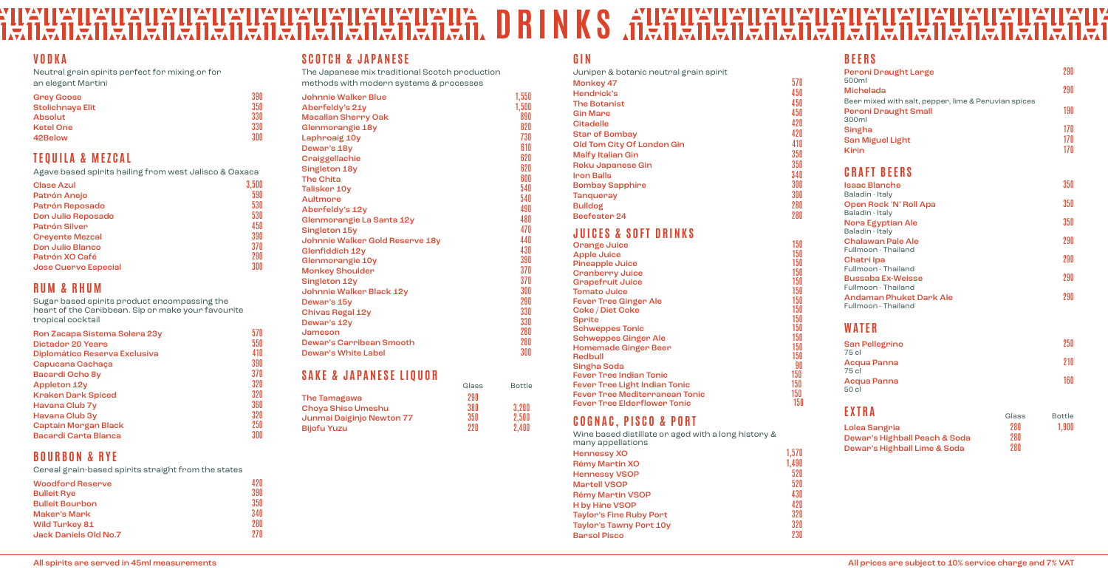#### **TEXA LIVAY LIVAY LIVAY LIVAY LIVAY LIVA<br>Azərbaycan azərbaycan axərbaycan axərbaycan axərbaycan axərbaycan axərbaycan axərbaycan axərbaycan axərbaycan DRINKS** de allegred and the parties <u>I'Al</u> ILÊ IIYAY HEYHEY <u>va</u>y <u>a se</u> <u>tar</u> 受 11 S. 凛 Œ E 戸.

#### **VODKA**

Neutral grain spirits perfect for mixing or for an elegant Martini

| <b>Grey Goose</b> | 390 |
|-------------------|-----|
| Stolichnaya Elit  | 350 |
| <b>Absolut</b>    | 330 |
| <b>Ketel One</b>  | 330 |
| 42Below           | 300 |

## **TEQUILA & MEZCAL**

Agave based spirits hailing from west Jalisco & Oaxaca

| <b>Clase Azul</b>           | 3,500 |
|-----------------------------|-------|
| Patrón Anejo                | 590   |
| Patrón Reposado             | 530   |
| Don Julio Reposado          | 530   |
| Patrón Silver               | 450   |
| <b>Crevente Mezcal</b>      | 390   |
| Don Julio Blanco            | 370   |
| Patrón XO Café              | 290   |
| <b>Jose Cuervo Especial</b> | 300   |

## **RUM & RHUM**

Sugar based spirits product encompassing the heart of the Caribbean. Sip or make your favourite tropical cocktail

| Ron Zacapa Sistema Solera 23y |     |
|-------------------------------|-----|
| <b>Dictador 20 Years</b>      | 550 |
| Diplomático Reserva Exclusiva | 410 |
| Capucana Cachaça              | 390 |
| Bacardi Ocho 8y               | 370 |
| <b>Appleton 12y</b>           | 320 |
| <b>Kraken Dark Spiced</b>     | 320 |
| Havana Club 7y                | 360 |
| Havana Club 3y                | 320 |
| Captain Morgan Black          | 250 |
| Bacardi Carta Blanca          | 300 |
|                               |     |

# **BOURBON & RYE**

Cereal grain-based spirits straight from the states

| <b>Woodford Reserve</b> | 42 N |
|-------------------------|------|
| <b>Bulleit Rye</b>      | 390  |
| <b>Bulleit Bourbon</b>  | 350  |
| <b>Maker's Mark</b>     | 340  |
| <b>Wild Turkey 81</b>   | 280  |
| Jack Daniels Old No.7   | 97N  |

#### **SCOTCH & JAPANESE**

The Japanese mix traditional Scotch production methods with modern systems & processes

| Johnnie Walker Blue             | 1,550 |
|---------------------------------|-------|
| Aberfeldy's 21y                 | 1,500 |
| <b>Macallan Sherry Oak</b>      | 890   |
| Glenmorangie 18y                | 820   |
| Laphroaig 10y                   | 730   |
| Dewar's 18y                     | 610   |
| Craiggellachie                  | 620   |
| Singleton 18y                   | 620   |
| <b>The Chita</b>                | 600   |
| Talisker 10y                    | 540   |
| <b>Aultmore</b>                 | 540   |
| Aberfeldy's 12y                 | 490   |
| Glenmorangie La Santa 12y       | 480   |
| Singleton 15y                   | 470   |
| Johnnie Walker Gold Reserve 18y | 440   |
| Glenfiddich 12y                 | 430   |
| Glenmorangie 10y                | 390   |
| <b>Monkey Shoulder</b>          | 370   |
| Singleton 12y                   | 370   |
| Johnnie Walker Black 12y        | 300   |
| Dewar's 15y                     | 290   |
| Chivas Regal 12y                | 330   |
| Dewar's 12y                     | 330   |
| Jameson                         | 280   |
| <b>Dewar's Carribean Smooth</b> | 280   |
| Dewar's White Label             | 300   |

## **SAKE & JAPANESE LIQUOR**

| Glass | <b>Bottle</b> |
|-------|---------------|
| 290   |               |
| 380   | 3,200         |
| 350   | 2.500         |
| 22 N  | 2.400         |
|       |               |

### **GIN**

| Juniper & botanic neutral grain spirit |                  |
|----------------------------------------|------------------|
| Monkey 47                              | 570              |
| Hendrick's                             | 450              |
| <b>The Botanist</b>                    | 450              |
| <b>Gin Mare</b>                        | 450              |
| <b>Citadelle</b>                       | 420              |
| <b>Star of Bombay</b>                  | 420              |
| Old Tom City Of London Gin             | 410              |
| <b>Malfy Italian Gin</b>               | 350              |
| Roku Japanese Gin                      | 350              |
| <b>Iron Balls</b>                      | 340              |
| <b>Bombay Sapphire</b>                 | 300              |
| <b>Tanqueray</b>                       | 300              |
| <b>Bulldog</b>                         | 280              |
| Beefeater <sub>24</sub>                | 280              |
|                                        |                  |
| JUICES & SOFT DRINKS                   |                  |
| Orange Juice                           | 150              |
| <b>Apple Juice</b>                     | 150              |
| <b>Pineapple Juice</b>                 | 150              |
| <b>Cranberry Juice</b>                 | 150              |
| <b>Grapefruit Juice</b>                | 150              |
| <b>Tomato Juice</b>                    | 150              |
| <b>Fever Tree Ginger Ale</b>           | 150<br>150       |
| Coke / Diet Coke<br><b>Sprite</b>      | 150              |
| <b>Schweppes Tonic</b>                 | 150              |
| <b>Schweppes Ginger Ale</b>            | 150              |
| <b>Homemade Ginger Beer</b>            | 150              |
| <b>Redbull</b>                         | 150              |
| Singha Soda                            | 90               |
| <b>Fever Tree Indian Tonic</b>         | 150              |
| <b>Fever Tree Light Indian Tonic</b>   | 150              |
| <b>Fever Tree Mediterranean Tonic</b>  | 150 <sub>2</sub> |
| <b>Fever Tree Elderflower Tonic</b>    | 150              |
| COGNAC, PISCO & PORT                   |                  |
|                                        |                  |

Wine based distillate or aged with a long history & many appellations

| <b>Hennessy XO</b>             | 1.570 |
|--------------------------------|-------|
| Rémy Martin XO                 | 1.490 |
| <b>Hennessy VSOP</b>           | 520   |
| <b>Martell VSOP</b>            | 520   |
| <b>Rémy Martin VSOP</b>        | 430   |
| <b>H</b> by Hine VSOP          | 420   |
| <b>Taylor's Fine Ruby Port</b> | 320   |
| <b>Taylor's Tawny Port 10y</b> | 320   |
| <b>Barsol Pisco</b>            | 230   |
|                                |       |

| <b>BEERS</b>                                          |       |               |
|-------------------------------------------------------|-------|---------------|
| Peroni Draught Large<br>500ml                         |       | 290           |
| <b>Michelada</b>                                      |       | 290           |
| Beer mixed with salt, pepper, lime & Peruvian spices  |       |               |
| <b>Peroni Draught Small</b><br>300ml                  |       | 190           |
| Singha                                                |       | 17N           |
| <b>San Miguel Light</b>                               |       | 170           |
| <b>Kirin</b>                                          |       | 170           |
| <b>CRAFT BEERS</b>                                    |       |               |
| <b>Isaac Blanche</b>                                  |       | 350           |
| Baladin - Italy<br>Open Rock 'N' Roll Apa             |       | 350           |
| Baladin - Italy                                       |       |               |
| <b>Nora Egyptian Ale</b><br>Baladin - Italy           |       | 350           |
| <b>Chalawan Pale Ale</b>                              |       | 290           |
| Fullmoon - Thailand                                   |       |               |
| Chatri Ipa<br>Fullmoon - Thailand                     |       | 290           |
| <b>Bussaba Ex-Weisse</b>                              |       | 290           |
| Fullmoon - Thailand                                   |       |               |
| <b>Andaman Phuket Dark Ale</b><br>Fullmoon - Thailand |       | 290           |
| WATER                                                 |       |               |
| San Pellegrino<br>75 cl                               |       | 250           |
| Acqua Panna<br>75 cl                                  |       | 910           |
| Acqua Panna<br>50 cl                                  |       | 160           |
| EXTRA                                                 | Glass | <b>Bottle</b> |

| Lolea Sangria                 | 280 | 1,900 |
|-------------------------------|-----|-------|
| Dewar's Highball Peach & Soda | 280 |       |
| Dewar's Highball Lime & Soda  | 280 |       |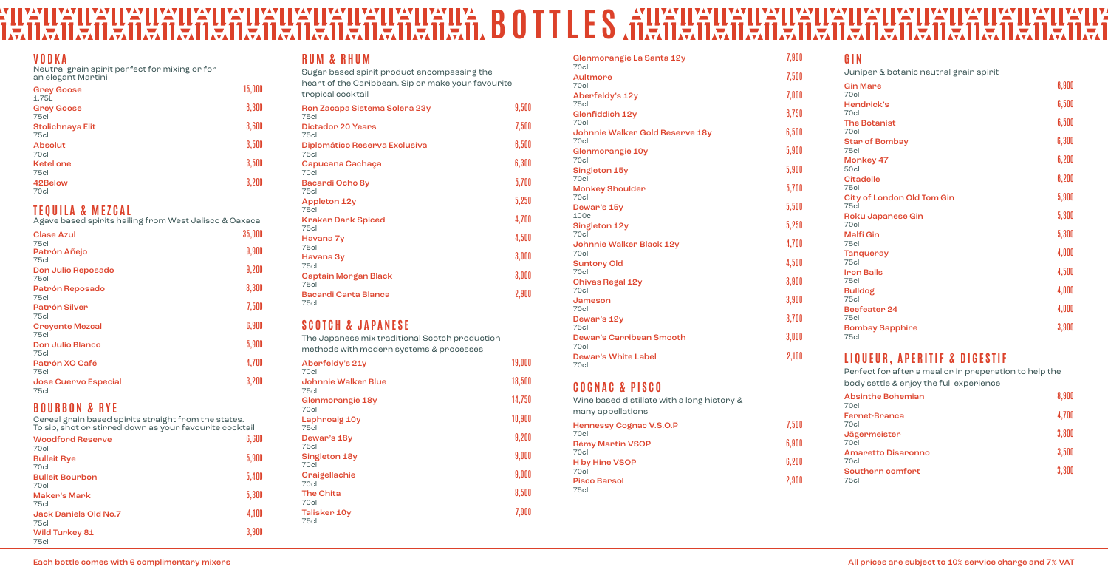#### **VODKA**

Neutral grain spirit perfect for mixing or for an elegant Martini

| <b>Grey Goose</b><br>1.75L | 15,000 |
|----------------------------|--------|
| <b>Grey Goose</b><br>75cl  | 6,300  |
| Stolichnaya Elit<br>75cl   | 3,600  |
| <b>Absolut</b><br>70cl     | 3,500  |
| <b>Ketel one</b><br>75cl   | 3,500  |
| 42Below<br>70cl            | 3,200  |

### **TEQUILA & MEZCAL**

Agave based spirits hailing from West Jalisco & Oaxaca

| <b>Clase Azul</b>                   | 35,000 |
|-------------------------------------|--------|
| 75cl<br>Patrón Añejo<br>75cl        | 9,900  |
| Don Julio Reposado<br>75cl          | 9,200  |
| Patrón Reposado<br>75c              | 8,300  |
| <b>Patrón Silver</b><br>75c         | 7,500  |
| <b>Crevente Mezcal</b><br>75c       | 6,900  |
| Don Julio Blanco<br>75c             | 5,900  |
| Patrón XO Café<br>75cl              | 4,700  |
| <b>Jose Cuervo Especial</b><br>75cl | 3,200  |

#### **BOURBON & RYE**

Cereal grain based spirits straight from the states. To sip, shot or stirred down as your favourite cocktail

| <b>Woodford Reserve</b><br>70cl    | 6,600 |
|------------------------------------|-------|
| <b>Bulleit Rye</b><br>70cl         | 5,900 |
| <b>Bulleit Bourbon</b><br>70cl     | 5,400 |
| <b>Maker's Mark</b><br><b>75cl</b> | 5,300 |
| Jack Daniels Old No.7<br>75cl      | 4,100 |
| <b>Wild Turkey 81</b><br>75cl      | 3,900 |

#### **RUM & RHUM**

Sugar based spirit product encompassing the heart of the Caribbean. Sip or make your favourite tropical cocktail

| Ron Zacapa Sistema Solera 23y<br>75cl | 9,500 |
|---------------------------------------|-------|
| <b>Dictador 20 Years</b><br>75c       | 7,500 |
| Diplomático Reserva Exclusiva<br>75c  | 6,500 |
| Capucana Cachaça<br>70c               | 6,300 |
| Bacardi Ocho 8y<br>75c                | 5,700 |
| Appleton 12y<br>75cl                  | 5,250 |
| Kraken Dark Spiced<br>75cl            | 4,700 |
| Havana 7y<br>75c                      | 4,500 |
| Havana 3y<br>75c                      | 3,000 |
| Captain Morgan Black<br>75c           | 3,000 |
| Bacardi Carta Blanca<br>75cl          | 2,900 |
|                                       |       |

| <b>Gin Mare</b><br>70cl                          | 6,900 |
|--------------------------------------------------|-------|
| Hendrick's                                       | 6,500 |
| 70cl                                             |       |
| <b>The Botanist</b><br>70cl                      | 6,500 |
| <b>Star of Bombay</b><br>75c                     | 6,300 |
| Monkey 47<br>50cl                                | 6,200 |
| <b>Citadelle</b><br>75cl                         | 6,200 |
| <b>City of London Old Tom Gin</b><br><b>75cl</b> | 5,900 |
| Roku Japanese Gin<br>70cl                        | 5,300 |
| <b>Malfi Gin</b><br>75c                          | 5,300 |
| <b>Tangueray</b><br>75c                          | 4,000 |
| <b>Iron Balls</b>                                | 4,500 |
| <b>75cl</b><br><b>Bulldog</b>                    | 4,000 |
| 75c                                              |       |
| <b>Beefeater 24</b><br>75c                       | 4,000 |
| <b>Bombay Sapphire</b><br><b>75cl</b>            | 3,900 |
|                                                  |       |

#### **SCOTCH & JAPANESE** The Japanese mix traditional Scotch production

methods with modern systems & processes Aberfeldy's 21y 19,000 70cl Johnnie Walker Blue 18,500 75cl Glenmorangie 18y 14,750 70cl Laphroaig 10y 10,900 75cl Dewar's  $18y$   $9,200$ 75cl Singleton 18y 9,000 70cl Craigellachie 9,000 70cl The Chita 8,500 70cl Talisker 10y 7,900 75cl

| Glenmorangie La Santa 12y<br><b>70cl</b>    | 7,900 |
|---------------------------------------------|-------|
| <b>Aultmore</b>                             | 7,500 |
| 70cl<br>Aberfeldy's 12y                     | 7,000 |
| 75cl<br>Glenfiddich 12y                     | 6,750 |
| 70cl                                        |       |
| Johnnie Walker Gold Reserve 18y<br>70cl     | 6,500 |
| Glenmorangie 10y<br>70cl                    | 5,900 |
| Singleton 15y<br>70cl                       | 5,900 |
| <b>Monkey Shoulder</b><br>70cl              | 5,700 |
| Dewar's 15y<br>100cl                        | 5,500 |
| Singleton 12y<br><b>70cl</b>                | 5,250 |
| Johnnie Walker Black 12y                    | 4,700 |
| 70cl<br><b>Suntory Old</b>                  | 4,500 |
| 70cl                                        | 3,900 |
| <b>Chivas Regal 12y</b><br>70cl             |       |
| Jameson<br>70cl                             | 3,900 |
| Dewar's 12y<br>75c                          | 3,700 |
| <b>Dewar's Carribean Smooth</b><br>70cl     | 3,000 |
| <b>Dewar's White Label</b><br>70cl          | 2,100 |
| <b>COGNAC &amp; PISCO</b>                   |       |
| Wine based distillate with a long history & |       |
| many appellations                           |       |
| Hennessy Cognac V.S.O.P<br>70cl             | 7,500 |
| <b>Rémy Martin VSOP</b>                     | 6,900 |

H by Hine VSOP 6,200

#### **BOTTLESIMIN IN THE SERVICE IN THE SERVICE IN THE SERVICE IN THE SERVICE IN THE SERVICE IN THE SERVICE IN THE S**<br>BORDON IN THE SERVICE IN THE SERVICE IN THE SERVICE IN THE SERVICE IN THE SERVICE IN THE SERVICE IN THE SERVI HEYH YAY. e IE.

70cl

70cl

Pisco Barsol 2,900

75cl

#### **GIN**

Juniper & botanic neutral grain spirit

#### **LIQUEUR, APERITIF & DIGESTIF**

Perfect for after a meal or in preperation to help the body settle & enjoy the full experience

| <b>Absinthe Bohemian</b><br>70cl  | 8,900 |
|-----------------------------------|-------|
| <b>Fernet-Branca</b><br>70cl      | 4,700 |
| Jägermeister<br>70cl              | 3,800 |
| <b>Amaretto Disaronno</b><br>70cl | 3,500 |
| Southern comfort<br>75cl          | 3,300 |